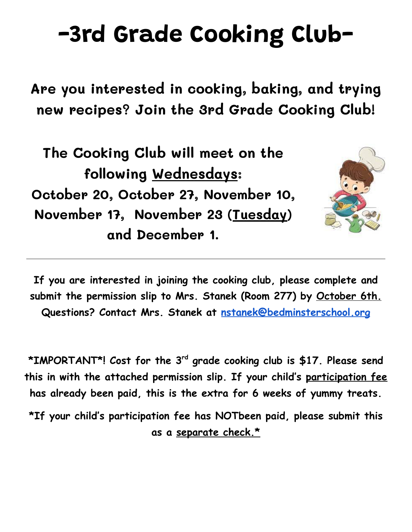## **-3rd Grade Cooking Club-**

**Are you interested in cooking, baking, and trying new recipes? Join the 3rd Grade Cooking Club!**

**The Cooking Club will meet on the following Wednesdays: October 20, October 27, November 10, November 17, November 23 (Tuesday) and December 1.**



**If you are interested in joining the cooking club, please complete and submit the permission slip to Mrs. Stanek (Room 277) by October 6th. Questions? Contact Mrs. Stanek at [nstanek@bedminsterschool.org](mailto:nstanek@bedminsterschool.org)**

**\*IMPORTANT\*! Cost for the 3rd grade cooking club is \$17. Please send this in with the attached permission slip. If your child's participation fee has already been paid, this is the extra for 6 weeks of yummy treats.**

**\*If your child's participation fee has NOTbeen paid, please submit this as a separate check.\***